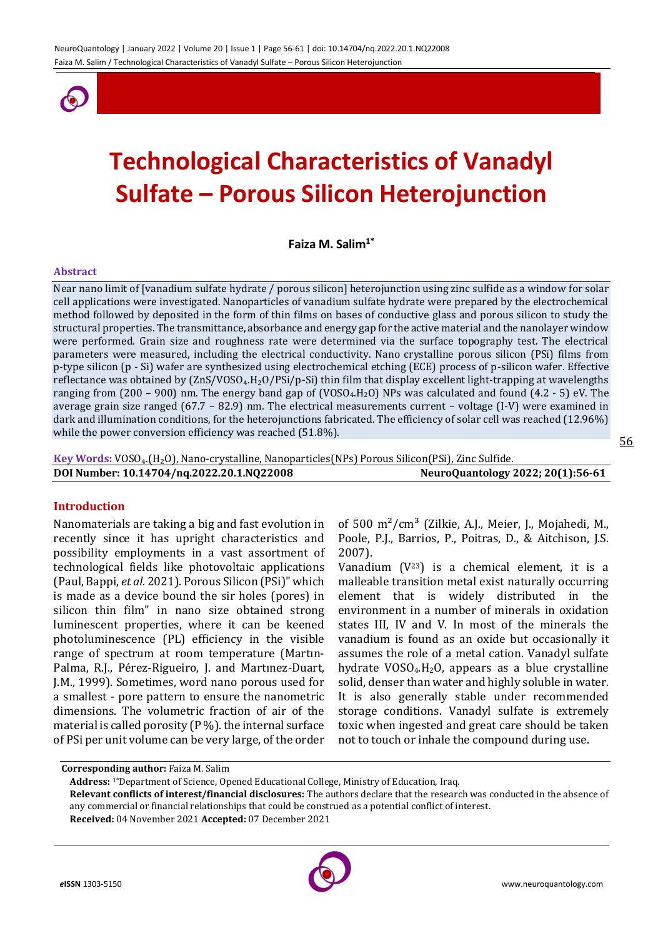

# **Technological Characteristics of Vanadyl Sulfate – Porous Silicon Heterojunction**

**Faiza M. Salim1\***

#### **Abstract**

Near nano limit of [vanadium sulfate hydrate / porous silicon] heterojunction using zinc sulfide as a window for solar cell applications were investigated. Nanoparticles of vanadium sulfate hydrate were prepared by the electrochemical method followed by deposited in the form of thin films on bases of conductive glass and porous silicon to study the structural properties. The transmittance, absorbance and energy gap for the active material and the nanolayer window were performed. Grain size and roughness rate were determined via the surface topography test. The electrical parameters were measured, including the electrical conductivity. Nano crystalline porous silicon (PSi) films from p-type silicon (p - Si) wafer are synthesized using electrochemical etching (ECE) process of p-silicon wafer. Effective reflectance was obtained by  $(2nS/VOSO<sub>4</sub>.H<sub>2</sub>O/PSI/p-Si)$  thin film that display excellent light-trapping at wavelengths ranging from (200 – 900) nm. The energy band gap of (VOSO4.H2O) NPs was calculated and found (4.2 - 5) eV. The average grain size ranged (67.7 – 82.9) nm. The electrical measurements current – voltage (I-V) were examined in dark and illumination conditions, for the heterojunctions fabricated. The efficiency of solar cell was reached (12.96%) while the power conversion efficiency was reached (51.8%).

Key Words: VOSO<sub>4</sub>.(H<sub>2</sub>O), Nano-crystalline, Nanoparticles(NPs) Porous Silicon(PSi), Zinc Sulfide. **DOI Number: 10.14704/nq.2022.20.1.NQ22008 NeuroQuantology 2022; 20(1):56-61**

#### **Introduction**

Nanomaterials are taking a big and fast evolution in recently since it has upright characteristics and possibility employments in a vast assortment of technological fields like photovoltaic applications (Paul, Bappi, *et al.* 2021). Porous Silicon (PSi)" which is made as a device bound the sir holes (pores) in silicon thin film" in nano size obtained strong luminescent properties, where it can be keened photoluminescence (PL) efficiency in the visible range of spectrum at room temperature (Martın-Palma, R.J., Pérez-Rigueiro, J. and Martınez-Duart, J.M., 1999). Sometimes, word nano porous used for a smallest - pore pattern to ensure the nanometric dimensions. The volumetric fraction of air of the material is called porosity  $(P %)$ . the internal surface of PSi per unit volume can be very large, of the order

of 500  $m^2/cm^3$  (Zilkie, A.J., Meier, J., Mojahedi, M., Poole, P.J., Barrios, P., Poitras, D., & Aitchison, J.S. 2007).

Vanadium  $(V^{23})$  is a chemical element, it is a malleable transition metal exist naturally occurring element that is widely distributed in the environment in a number of minerals in oxidation states III, IV and V. In most of the minerals the vanadium is found as an oxide but occasionally it assumes the role of a metal cation. Vanadyl sulfate hydrate  $VOSO<sub>4</sub>$ .H<sub>2</sub>O, appears as a blue crystalline solid, denser than water and highly soluble in water. It is also generally stable under recommended storage conditions. Vanadyl sulfate is extremely toxic when ingested and great care should be taken not to touch or inhale the compound during use.

**Corresponding author:** Faiza M. Salim

**Address:** 1\*Department of Science, Opened Educational College, Ministry of Education, Iraq.

**Relevant conflicts of interest/financial disclosures:** The authors declare that the research was conducted in the absence of any commercial or financial relationships that could be construed as a potential conflict of interest.

**Received:** 04 November 2021 **Accepted:** 07 December 2021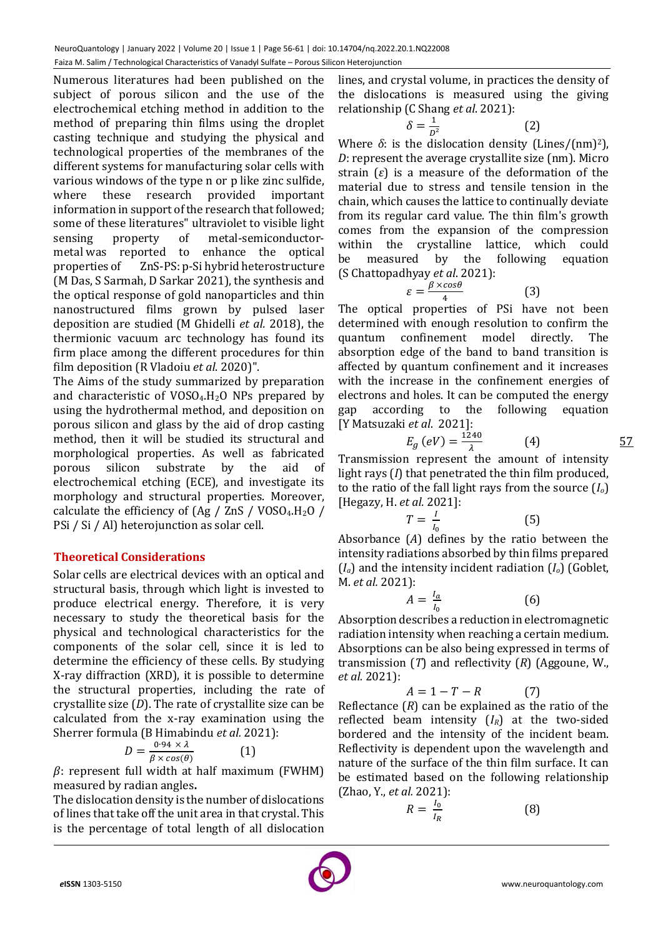Numerous literatures had been published on the subject of porous silicon and the use of the electrochemical etching method in addition to the method of preparing thin films using the droplet casting technique and studying the physical and technological properties of the membranes of the different systems for manufacturing solar cells with various windows of the type n or p like zinc sulfide, where these research provided important information in support of the research that followed; some of these literatures" ultraviolet to visible light sensing property of metal-semiconductormetal was reported to enhance the optical properties of ZnS-PS: p-Si hybrid heterostructure (M Das, S Sarmah, D Sarkar 2021), the synthesis and the optical response of gold nanoparticles and thin nanostructured films grown by pulsed laser deposition are studied (M Ghidelli *et al.* 2018), the thermionic vacuum arc technology has found its firm place among the different procedures for thin film deposition (R Vladoiu *et al*. 2020)".

The Aims of the study summarized by preparation and characteristic of  $VOSO<sub>4</sub>$ .H<sub>2</sub>O NPs prepared by using the hydrothermal method, and deposition on porous silicon and glass by the aid of drop casting method, then it will be studied its structural and morphological properties. As well as fabricated porous silicon substrate by the aid of electrochemical etching (ECE), and investigate its morphology and structural properties. Moreover, calculate the efficiency of  $(Ag / ZnS / VOSO<sub>4</sub>.H<sub>2</sub>O /$ PSi / Si / Al) heterojunction as solar cell.

# **Theoretical Considerations**

Solar cells are electrical devices with an optical and structural basis, through which light is invested to produce electrical energy. Therefore, it is very necessary to study the theoretical basis for the physical and technological characteristics for the components of the solar cell, since it is led to determine the efficiency of these cells. By studying X-ray diffraction (XRD), it is possible to determine the structural properties, including the rate of crystallite size (*D*). The rate of crystallite size can be calculated from the x-ray examination using the Sherrer formula (B Himabindu *et al.* 2021):

$$
D = \frac{0.94 \times \lambda}{\beta \times \cos(\theta)} \tag{1}
$$

 $\beta$ : represent full width at half maximum (FWHM) measured by radian angles**.**

The dislocation density is the number of dislocations of lines that take off the unit area in that crystal. This is the percentage of total length of all dislocation lines, and crystal volume, in practices the density of the dislocations is measured using the giving relationship (C Shang *et al*. 2021):

$$
\delta = \frac{1}{D^2} \tag{2}
$$

Where  $\delta$ : is the dislocation density (Lines/(nm)<sup>2</sup>), *D*: represent the average crystallite size (nm). Micro strain (*ε*) is a measure of the deformation of the material due to stress and tensile tension in the chain, which causes the lattice to continually deviate from its regular card value. The thin film's growth comes from the expansion of the compression within the crystalline lattice, which could be measured by the following equation (S Chattopadhyay *et al*. 2021):

$$
\varepsilon = \frac{\beta \times \cos \theta}{4} \tag{3}
$$

The optical properties of PSi have not been determined with enough resolution to confirm the quantum confinement model directly. The absorption edge of the band to band transition is affected by quantum confinement and it increases with the increase in the confinement energies of electrons and holes. It can be computed the energy gap according to the following equation [Y Matsuzaki *et al*. 2021]:

$$
E_g\left(eV\right) = \frac{1240}{\lambda} \tag{4}
$$

Transmission represent the amount of intensity light rays (*I*) that penetrated the thin film produced, to the ratio of the fall light rays from the source (*Io*) [Hegazy, H. *et al.* 2021]:

$$
T = \frac{I}{I_0} \tag{5}
$$

Absorbance (*A*) defines by the ratio between the intensity radiations absorbed by thin films prepared (*Ia*) and the intensity incident radiation (*Io*) (Goblet, M. *et al.* 2021):

$$
A = \frac{I_a}{I_0} \tag{6}
$$

Absorption describes a reduction in electromagnetic radiation intensity when reaching a certain medium. Absorptions can be also being expressed in terms of transmission (*T*) and reflectivity (*R*) (Aggoune, W., *et al.* 2021):

$$
A = 1 - T - R \tag{7}
$$

Reflectance (*R*) can be explained as the ratio of the reflected beam intensity (*IR*) at the two-sided bordered and the intensity of the incident beam. Reflectivity is dependent upon the wavelength and nature of the surface of the thin film surface. It can be estimated based on the following relationship (Zhao, Y., *et al.* 2021):

$$
R = \frac{I_0}{I_R} \tag{8}
$$

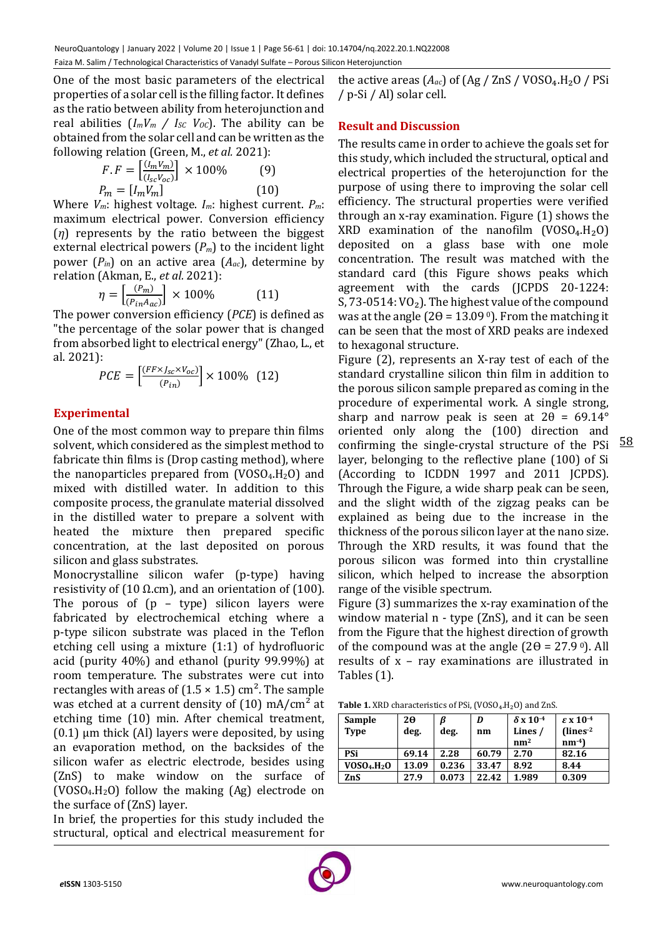One of the most basic parameters of the electrical properties of a solar cell is the filling factor. It defines as the ratio between ability from heterojunction and real abilities  $(I_m V_m / I_{SC} V_{OC})$ . The ability can be obtained from the solar cell and can be written as the following relation (Green, M., *et al.* 2021):

$$
F.F = \left[\frac{(I_m V_m)}{(I_{sc} V_{oc})}\right] \times 100\%
$$
 (9)  

$$
P_m = [I_m V_m]
$$
 (10)

Where *Vm*: highest voltage. *Im*: highest current. *Pm*: maximum electrical power. Conversion efficiency (*η*) represents by the ratio between the biggest external electrical powers (*Pm*) to the incident light power  $(P_{in})$  on an active area  $(A_{ac})$ , determine by relation (Akman, E., *et al.* 2021):

$$
\eta = \left[\frac{(p_m)}{(p_{in}A_{ac})}\right] \times 100\%
$$
 (11)

The power conversion efficiency (*PCE*) is defined as "the percentage of the solar power that is changed from absorbed light to electrical energy" (Zhao, L., et al. 2021):

$$
PCE = \left[\frac{(FF \times J_{sc} \times V_{oc})}{(P_{in})}\right] \times 100\% \quad (12)
$$

# **Experimental**

One of the most common way to prepare thin films solvent, which considered as the simplest method to fabricate thin films is (Drop casting method), where the nanoparticles prepared from  $(VOSO<sub>4</sub>, H<sub>2</sub>O)$  and mixed with distilled water. In addition to this composite process, the granulate material dissolved in the distilled water to prepare a solvent with heated the mixture then prepared specific concentration, at the last deposited on porous silicon and glass substrates.

Monocrystalline silicon wafer (p-type) having resistivity of (10 Ω.cm), and an orientation of (100). The porous of  $(p - type)$  silicon layers were fabricated by electrochemical etching where a p-type silicon substrate was placed in the Teflon etching cell using a mixture (1:1) of hydrofluoric acid (purity 40%) and ethanol (purity 99.99%) at room temperature. The substrates were cut into rectangles with areas of  $(1.5 \times 1.5)$  cm<sup>2</sup>. The sample was etched at a current density of  $(10)$  mA/cm<sup>2</sup> at etching time (10) min. After chemical treatment,  $(0.1)$  µm thick  $(A)$ ] layers were deposited, by using an evaporation method, on the backsides of the silicon wafer as electric electrode, besides using (ZnS) to make window on the surface of  $(VOSO<sub>4</sub>, H<sub>2</sub>O)$  follow the making  $(Ag)$  electrode on the surface of (ZnS) layer.

In brief, the properties for this study included the structural, optical and electrical measurement for the active areas  $(A_{ac})$  of  $(Ag / ZnS / VOSO<sub>4</sub>.H<sub>2</sub>O / PSi$ / p-Si / Al) solar cell.

# **Result and Discussion**

The results came in order to achieve the goals set for this study, which included the structural, optical and electrical properties of the heterojunction for the purpose of using there to improving the solar cell efficiency. The structural properties were verified through an x-ray examination. Figure (1) shows the XRD examination of the nanofilm  $(VOSO<sub>4</sub>.H<sub>2</sub>O)$ deposited on a glass base with one mole concentration. The result was matched with the standard card (this Figure shows peaks which agreement with the cards (JCPDS 20-1224: S, 73-0514:  $VO<sub>2</sub>$ ). The highest value of the compound was at the angle ( $2\theta = 13.09^{\circ}$ ). From the matching it can be seen that the most of XRD peaks are indexed to hexagonal structure.

Figure (2), represents an X-ray test of each of the standard crystalline silicon thin film in addition to the porous silicon sample prepared as coming in the procedure of experimental work. A single strong, sharp and narrow peak is seen at  $2\theta = 69.14^{\circ}$ oriented only along the (100) direction and confirming the single-crystal structure of the PSi layer, belonging to the reflective plane (100) of Si (According to ICDDN 1997 and 2011 JCPDS). Through the Figure, a wide sharp peak can be seen, and the slight width of the zigzag peaks can be explained as being due to the increase in the thickness of the porous silicon layer at the nano size. Through the XRD results, it was found that the porous silicon was formed into thin crystalline silicon, which helped to increase the absorption range of the visible spectrum.

Figure (3) summarizes the x-ray examination of the window material n - type (ZnS), and it can be seen from the Figure that the highest direction of growth of the compound was at the angle  $(2\theta = 27.9^{\circ})$ . All results of x – ray examinations are illustrated in Tables (1).

| Sample                              | 2θ    | ß     | D     | $\delta$ x 10 <sup>-4</sup> | $\epsilon$ x 10 <sup>-4</sup> |
|-------------------------------------|-------|-------|-------|-----------------------------|-------------------------------|
| Type                                | deg.  | deg.  | nm    | Lines /                     | $($ lines $-2$                |
|                                     |       |       |       | nm <sup>2</sup>             | $nm-4$                        |
| PSi                                 | 69.14 | 2.28  | 60.79 | 2.70                        | 82.16                         |
| VOSO <sub>4</sub> .H <sub>2</sub> O | 13.09 | 0.236 | 33.47 | 8.92                        | 8.44                          |
| ZnS                                 | 27.9  | 0.073 | 22.42 | 1.989                       | 0.309                         |

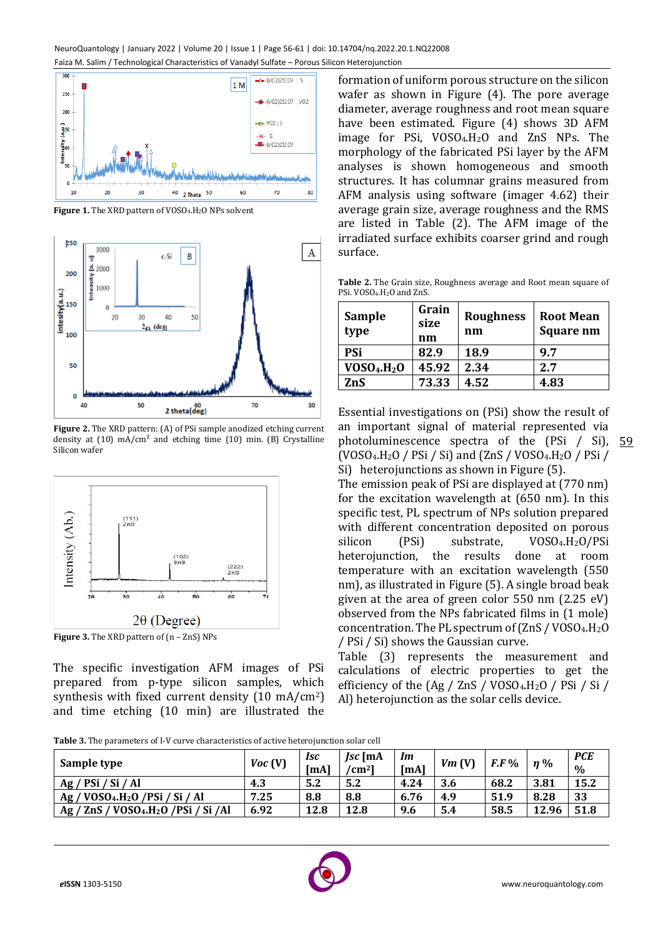

**Figure 1.** The XRD pattern of VOSO<sub>4</sub>. H<sub>2</sub>O NPs solvent



**Figure 2.** The XRD pattern: (A) of PSi sample anodized etching current density at  $(10)$  mA/cm<sup>2</sup> and etching time  $(10)$  min.  $(B)$  Crystalline Silicon wafer



**Figure 3.** The XRD pattern of (n – ZnS) NPs

The specific investigation AFM images of PSi prepared from p-type silicon samples, which synthesis with fixed current density (10 mA/cm2) and time etching (10 min) are illustrated the

formation of uniform porous structure on the silicon wafer as shown in Figure (4). The pore average diameter, average roughness and root mean square have been estimated. Figure (4) shows 3D AFM image for PSi, VOSO4.H2O and ZnS NPs. The morphology of the fabricated PSi layer by the AFM analyses is shown homogeneous and smooth structures. It has columnar grains measured from AFM analysis using software (imager 4.62) their average grain size, average roughness and the RMS are listed in Table (2). The AFM image of the irradiated surface exhibits coarser grind and rough surface.

**Table 2.** The Grain size, Roughness average and Root mean square of PSi. VOSO4.H2O and ZnS.

| <b>Sample</b><br>type               | Grain<br>size<br>nm | <b>Roughness</b><br>nm | <b>Root Mean</b><br><b>Square nm</b> |
|-------------------------------------|---------------------|------------------------|--------------------------------------|
| PSi                                 | 82.9                | 18.9                   | 9.7                                  |
| VOSO <sub>4</sub> .H <sub>2</sub> O | 45.92               | 2.34                   | 2.7                                  |
| ZnS                                 | 73.33               | 4.52                   | 4.83                                 |

photoluminescence spectra of the (PSi / Si), 59 Essential investigations on (PSi) show the result of an important signal of material represented via  $(VOSO<sub>4</sub>.H<sub>2</sub>O / PSi / Si)$  and  $(ZnS / VOSO<sub>4</sub>.H<sub>2</sub>O / PSi /$ Si) heterojunctions as shown in Figure (5).

The emission peak of PSi are displayed at (770 nm) for the excitation wavelength at (650 nm). In this specific test, PL spectrum of NPs solution prepared with different concentration deposited on porous silicon (PSi) substrate, VOSO<sub>4</sub>.H<sub>2</sub>O/PSi heterojunction, the results done at room temperature with an excitation wavelength (550 nm), as illustrated in Figure (5). A single broad beak given at the area of green color 550 nm (2.25 eV) observed from the NPs fabricated films in (1 mole) concentration. The PL spectrum of  $(ZnS / VOSO<sub>4</sub>.H<sub>2</sub>O$ / PSi / Si) shows the Gaussian curve.

Table (3) represents the measurement and calculations of electric properties to get the efficiency of the  $(Ag / ZnS / VOSO<sub>4</sub>.H<sub>2</sub>O / PSi / Si /$ Al) heterojunction as the solar cells device.

**Table 3.** The parameters of I-V curve characteristics of active heterojunction solar cell

| Sample type                                     | Voc(V) | <b>Isc</b><br><b>ImAl</b> | $\mathbf{c}$ [mA<br>$\rm \ell cm^{2}l$ | Im<br>[ <b>m</b> A] | Vm(V) | $F.F\%$ | $\eta\%$ | <b>PCE</b><br>$\%$ |
|-------------------------------------------------|--------|---------------------------|----------------------------------------|---------------------|-------|---------|----------|--------------------|
| Ag / PSi / Si / Al                              | 4.3    | 5.2                       | 5.2                                    | 4.24                | 3.6   | 68.2    | 3.81     | 15.2               |
| $Ag / VOSO4.H2O / PSi / Si / Al$                | 7.25   | 8.8                       | 8.8                                    | 6.76                | 4.9   | 51.9    | 8.28     | 33                 |
| Ag / ZnS / VOSO4.H <sub>2</sub> O /PSi / Si /Al | 6.92   | 12.8                      | 12.8                                   | 9.6                 | 5.4   | 58.5    | 12.96    | 51.8               |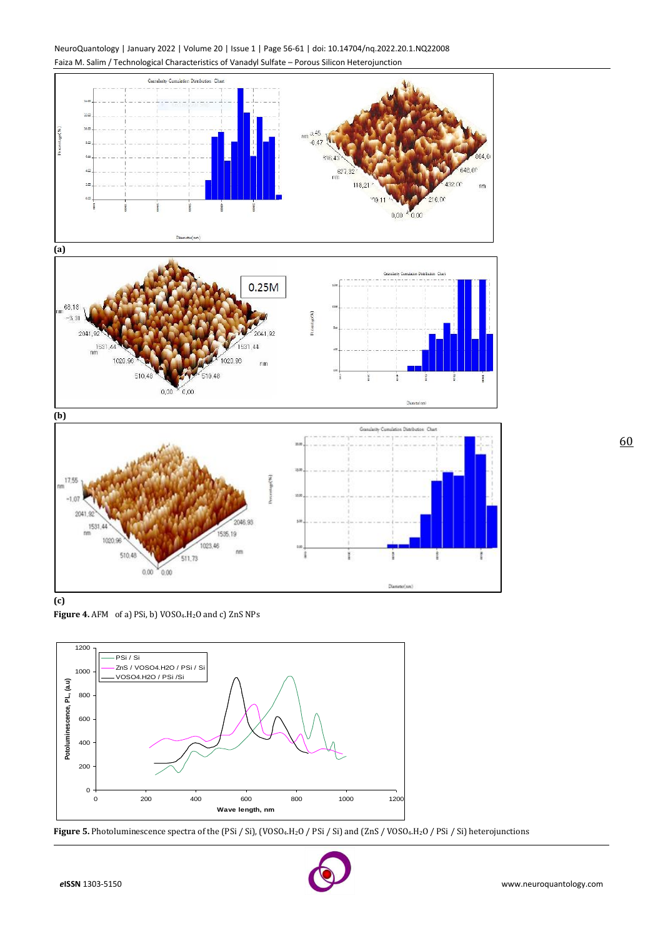



**(c)**

Figure 4. AFM of a) PSi, b) VOSO<sub>4</sub>.H<sub>2</sub>O and c) ZnS NPs

 $V_{0.00}$  $0.00$ 



**Figure 5.** Photoluminescence spectra of the (PSi / Si), (VOSO<sub>4</sub>.H<sub>2</sub>O / PSi / Si) and (ZnS / VOSO<sub>4</sub>.H<sub>2</sub>O / PSi / Si) heterojunctions

![](_page_4_Picture_6.jpeg)

Disminician